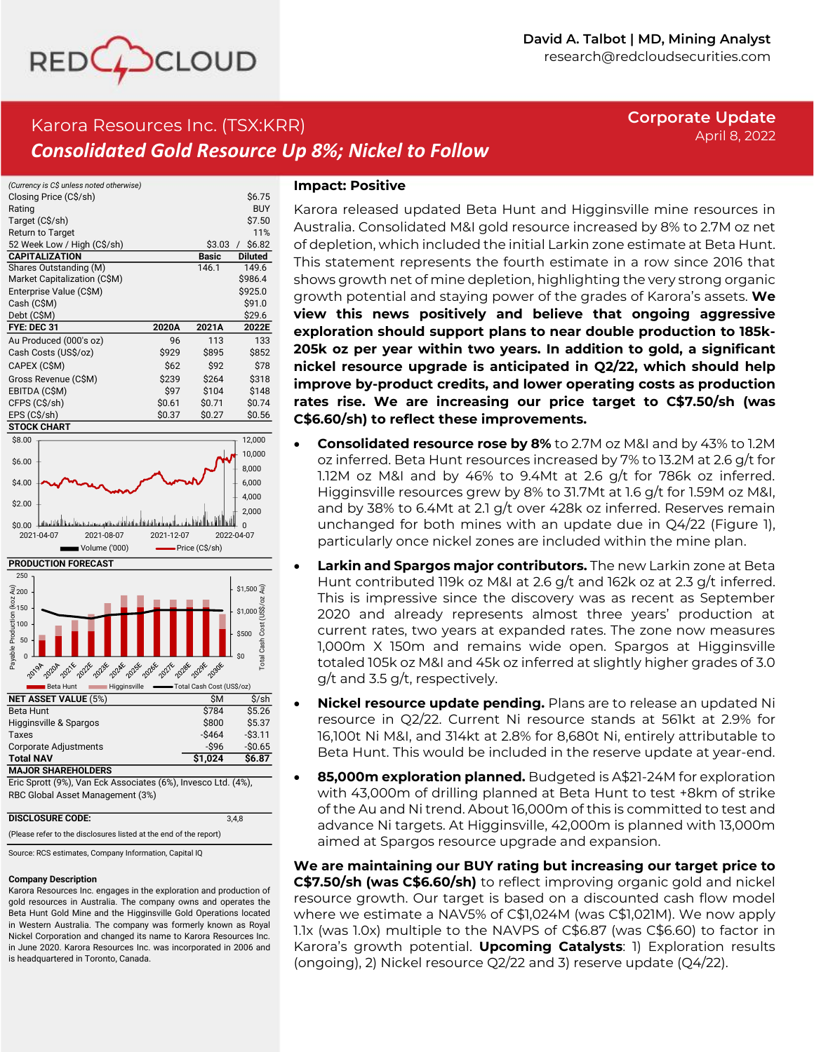

# Karora Resources Inc. (TSX:KRR) *Consolidated Gold Resource Up 8%; Nickel to Follow*

# **Corporate Update** April 8, 2022

| (Currency is C\$ unless noted otherwise) |        |              |                    |
|------------------------------------------|--------|--------------|--------------------|
| Closing Price (C\$/sh)                   |        |              | \$6.75             |
| Rating                                   |        |              | <b>BUY</b>         |
| Target (C\$/sh)                          |        |              | \$7.50             |
| <b>Return to Target</b>                  |        |              | 11%                |
| 52 Week Low / High (C\$/sh)              |        | \$3.03       | \$6.82<br>$\prime$ |
| <b>CAPITALIZATION</b>                    |        | <b>Basic</b> | <b>Diluted</b>     |
| Shares Outstanding (M)                   |        | 146.1        | 149.6              |
| Market Capitalization (C\$M)             |        |              | \$986.4            |
| Enterprise Value (C\$M)                  |        |              | \$925.0            |
| Cash (C\$M)                              |        |              | \$91.0             |
| Debt (C\$M)                              |        |              | \$29.6             |
| FYE: DEC 31                              | 2020A  | 2021A        | 2022E              |
| Au Produced (000's oz)                   | 96     | 113          | 133                |
| Cash Costs (US\$/oz)                     | \$929  | \$895        | \$852              |
| CAPEX (C\$M)                             | \$62   | \$92         | \$78               |
| Gross Revenue (C\$M)                     | \$239  | \$264        | \$318              |
| EBITDA (C\$M)                            | \$97   | \$104        | \$148              |
| CFPS (C\$/sh)                            | \$0.61 | \$0.71       | \$0.74             |
| EPS (C\$/sh)                             | \$0.37 | \$0.27       | \$0.56             |
| <b>STOCK CHART</b>                       |        |              |                    |





Eric Sprott (9%), Van Eck Associates (6%), Invesco Ltd. (4%), RBC Global Asset Management (3%)

| <b>DISCLOSURE CODE:</b>                                           | 3.4.8 |
|-------------------------------------------------------------------|-------|
| (Please refer to the disclosures listed at the end of the report) |       |

Source: RCS estimates, Company Information, Capital IQ

### **Company Description**

Karora Resources Inc. engages in the exploration and production of gold resources in Australia. The company owns and operates the Beta Hunt Gold Mine and the Higginsville Gold Operations located in Western Australia. The company was formerly known as Royal Nickel Corporation and changed its name to Karora Resources Inc. in June 2020. Karora Resources Inc. was incorporated in 2006 and is headquartered in Toronto, Canada.

### **Impact: Positive**

Karora released updated Beta Hunt and Higginsville mine resources in Australia. Consolidated M&I gold resource increased by 8% to 2.7M oz net of depletion, which included the initial Larkin zone estimate at Beta Hunt. This statement represents the fourth estimate in a row since 2016 that shows growth net of mine depletion, highlighting the very strong organic growth potential and staying power of the grades of Karora's assets. **We view this news positively and believe that ongoing aggressive exploration should support plans to near double production to 185k-205k oz per year within two years. In addition to gold, a significant nickel resource upgrade is anticipated in Q2/22, which should help improve by-product credits, and lower operating costs as production rates rise. We are increasing our price target to C\$7.50/sh (was C\$6.60/sh) to reflect these improvements.** 

- **Consolidated resource rose by 8%** to 2.7M oz M&I and by 43% to 1.2M oz inferred. Beta Hunt resources increased by 7% to 13.2M at 2.6 g/t for 1.12M oz M&I and by 46% to 9.4Mt at 2.6 g/t for 786k oz inferred. Higginsville resources grew by 8% to 31.7Mt at 1.6 g/t for 1.59M oz M&I, and by 38% to 6.4Mt at 2.1 g/t over 428k oz inferred. Reserves remain unchanged for both mines with an update due in Q4/22 (Figure 1), particularly once nickel zones are included within the mine plan.
- **Larkin and Spargos major contributors.** The new Larkin zone at Beta Hunt contributed 119k oz M&I at 2.6 g/t and 162k oz at 2.3 g/t inferred. This is impressive since the discovery was as recent as September 2020 and already represents almost three years' production at current rates, two years at expanded rates. The zone now measures 1,000m X 150m and remains wide open. Spargos at Higginsville totaled 105k oz M&I and 45k oz inferred at slightly higher grades of 3.0 g/t and 3.5 g/t, respectively.
- **Nickel resource update pending.** Plans are to release an updated Ni resource in Q2/22. Current Ni resource stands at 561kt at 2.9% for 16,100t Ni M&I, and 314kt at 2.8% for 8,680t Ni, entirely attributable to Beta Hunt. This would be included in the reserve update at year-end.
- **85,000m exploration planned.** Budgeted is A\$21-24M for exploration with 43,000m of drilling planned at Beta Hunt to test +8km of strike of the Au and Ni trend. About 16,000m of this is committed to test and advance Ni targets. At Higginsville, 42,000m is planned with 13,000m aimed at Spargos resource upgrade and expansion.

**We are maintaining our BUY rating but increasing our target price to C\$7.50/sh (was C\$6.60/sh)** to reflect improving organic gold and nickel resource growth. Our target is based on a discounted cash flow model where we estimate a NAV5% of C\$1,024M (was C\$1,021M). We now apply 1.1x (was 1.0x) multiple to the NAVPS of C\$6.87 (was C\$6.60) to factor in Karora's growth potential. **Upcoming Catalysts**: 1) Exploration results (ongoing), 2) Nickel resource Q2/22 and 3) reserve update (Q4/22).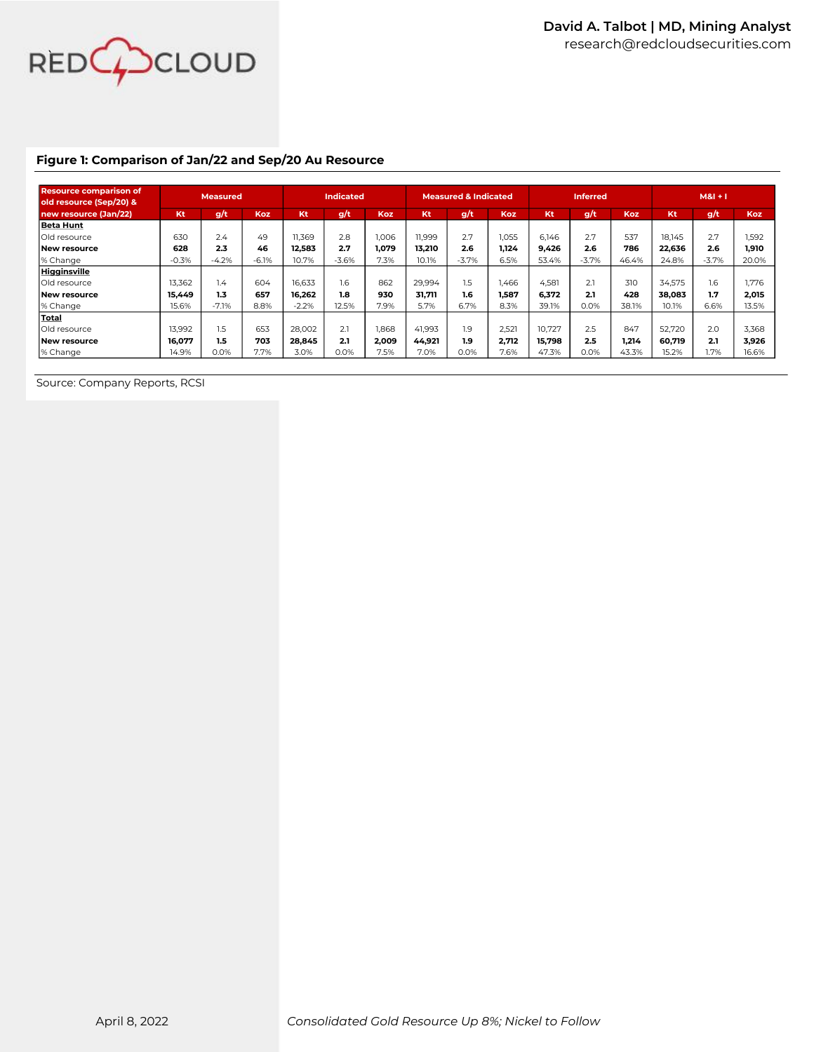

## **Figure 1: Comparison of Jan/22 and Sep/20 Au Resource**

| <b>Resource comparison of</b><br>old resource (Sep/20) & |         | <b>Measured</b> |            |         | <b>Indicated</b> |            | <b>Measured &amp; Indicated</b> |         |       | <b>Inferred</b> |                         |            | $M8I + I$ |         |            |
|----------------------------------------------------------|---------|-----------------|------------|---------|------------------|------------|---------------------------------|---------|-------|-----------------|-------------------------|------------|-----------|---------|------------|
| new resource (Jan/22)                                    | Kt      | g/t             | <b>Koz</b> | Kt      | q/t              | <b>Koz</b> | Kt                              | g/t     | Koz   | Kt              | $\mathbf{g}/\mathbf{t}$ | <b>Koz</b> | Kt        | g/t     | <b>Koz</b> |
| <b>Beta Hunt</b>                                         |         |                 |            |         |                  |            |                                 |         |       |                 |                         |            |           |         |            |
| Old resource                                             | 630     | 2.4             | 49         | 11.369  | 2.8              | 1.006      | 11.999                          | 2.7     | 1,055 | 6.146           | 2.7                     | 537        | 18.145    | 2.7     | 1.592      |
| New resource                                             | 628     | 2.3             | 46         | 12.583  | 2.7              | 1.079      | 13.210                          | 2.6     | 1.124 | 9.426           | 2.6                     | 786        | 22.636    | 2.6     | 1.910      |
| % Change                                                 | $-0.3%$ | $-4.2%$         | $-6.1%$    | 10.7%   | $-3.6%$          | 7.3%       | 10.1%                           | $-3.7%$ | 6.5%  | 53.4%           | $-3.7%$                 | 46.4%      | 24.8%     | $-3.7%$ | 20.0%      |
| Higginsville                                             |         |                 |            |         |                  |            |                                 |         |       |                 |                         |            |           |         |            |
| Old resource                                             | 13.362  | 1.4             | 604        | 16.633  | 1.6              | 862        | 29,994                          | 1.5     | 1.466 | 4.581           | 2.1                     | 310        | 34.575    | 1.6     | 1.776      |
| New resource                                             | 15.449  | 1.3             | 657        | 16.262  | 1.8              | 930        | 31.711                          | 1.6     | 1.587 | 6.372           | 2.1                     | 428        | 38.083    | 1.7     | 2,015      |
| % Change                                                 | 15.6%   | $-7.1%$         | 8.8%       | $-2.2%$ | 12.5%            | 7.9%       | 5.7%                            | 6.7%    | 8.3%  | 39.1%           | 0.0%                    | 38.1%      | 10.1%     | 6.6%    | 13.5%      |
| Total                                                    |         |                 |            |         |                  |            |                                 |         |       |                 |                         |            |           |         |            |
| Old resource                                             | 13.992  | 1.5             | 653        | 28,002  | 2.1              | 1.868      | 41.993                          | 1.9     | 2.521 | 10.727          | 2.5                     | 847        | 52,720    | 2.0     | 3.368      |
| New resource                                             | 16.077  | 1.5             | 703        | 28.845  | 2.1              | 2.009      | 44.921                          | 1.9     | 2.712 | 15.798          | 2.5                     | 1.214      | 60.719    | 2.1     | 3.926      |
| % Change                                                 | 14.9%   | 0.0%            | 7.7%       | 3.0%    | 0.0%             | 7.5%       | 7.0%                            | 0.0%    | 7.6%  | 47.3%           | 0.0%                    | 43.3%      | 15.2%     | 1.7%    | 16.6%      |

Source: Company Reports, RCSI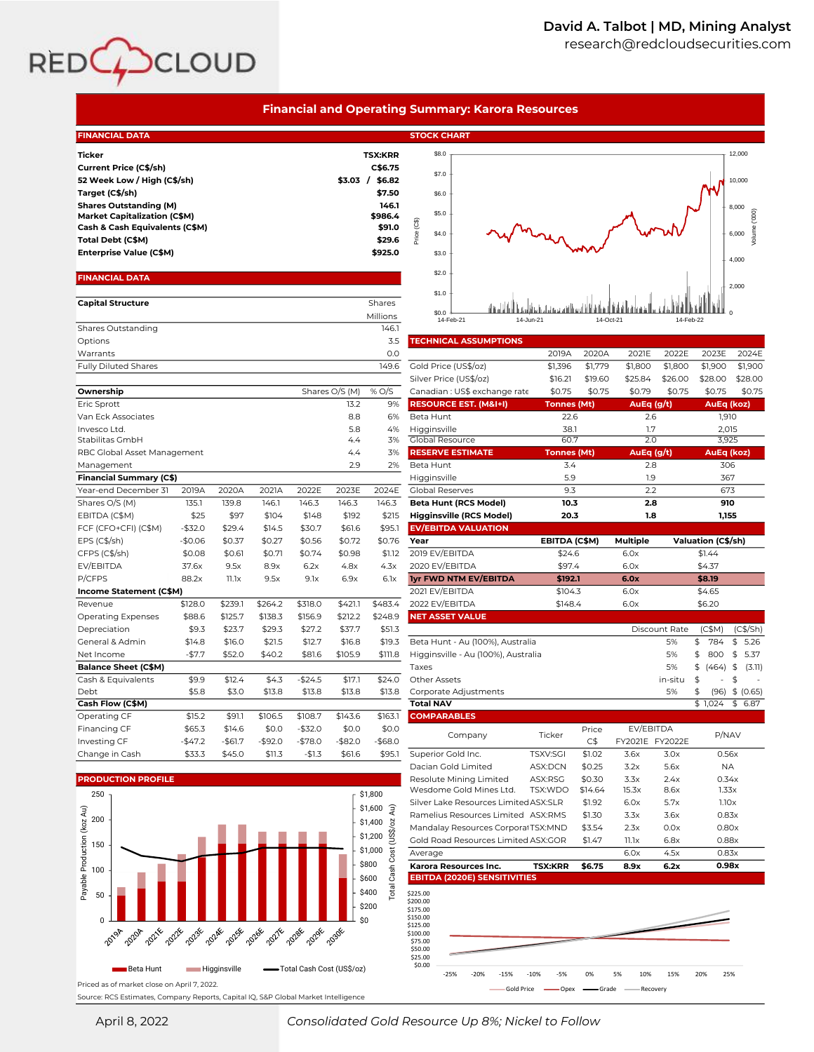

|                                                                                                                                                                                                                                                     |                    |                    |                    |                    |                    |                                                                                                           | <b>Financial and Operating Summary: Karora Resources</b>                            |                    |                    |                    |                    |                    |                                                              |
|-----------------------------------------------------------------------------------------------------------------------------------------------------------------------------------------------------------------------------------------------------|--------------------|--------------------|--------------------|--------------------|--------------------|-----------------------------------------------------------------------------------------------------------|-------------------------------------------------------------------------------------|--------------------|--------------------|--------------------|--------------------|--------------------|--------------------------------------------------------------|
| <b>FINANCIAL DATA</b>                                                                                                                                                                                                                               |                    |                    |                    |                    |                    |                                                                                                           | <b>STOCK CHART</b>                                                                  |                    |                    |                    |                    |                    |                                                              |
| <b>Ticker</b><br>Current Price (C\$/sh)<br>52 Week Low / High (C\$/sh)<br>Target (C\$/sh)<br><b>Shares Outstanding (M)</b><br><b>Market Capitalization (C\$M)</b><br>Cash & Cash Equivalents (C\$M)<br>Total Debt (C\$M)<br>Enterprise Value (C\$M) |                    |                    |                    |                    |                    | <b>TSX:KRR</b><br>C\$6.75<br>\$3.03 / \$6.82<br>\$7.50<br>146.1<br>\$986.4<br>\$91.0<br>\$29.6<br>\$925.0 | \$8.0<br>\$7.0<br>\$6.0<br>\$5.0<br>ලී<br>Price<br>\$4.0<br>\$3.0                   |                    |                    |                    |                    |                    | 12,000<br>10,000<br>8,000<br>Volume ('000)<br>6,000<br>4,000 |
| <b>FINANCIAL DATA</b><br><b>Capital Structure</b>                                                                                                                                                                                                   |                    |                    |                    |                    |                    | <b>Shares</b>                                                                                             | \$2.0<br>\$1.0                                                                      |                    |                    |                    |                    |                    | 2,000                                                        |
| Shares Outstanding                                                                                                                                                                                                                                  |                    |                    |                    |                    |                    | Millions<br>146.1                                                                                         | \$0.0<br>14-Jun-21<br>14-Feb-21                                                     |                    | 14-Oct-21          |                    | 14-Feb-22          |                    |                                                              |
| Options                                                                                                                                                                                                                                             |                    |                    |                    |                    |                    | 3.5                                                                                                       | <b>TECHNICAL ASSUMPTIONS</b>                                                        |                    |                    |                    |                    |                    |                                                              |
| Warrants                                                                                                                                                                                                                                            |                    |                    |                    |                    |                    | 0.0                                                                                                       |                                                                                     | 2019A              | 2020A              | 2021E              | 2022E              | 2023E              | 2024E                                                        |
| <b>Fully Diluted Shares</b>                                                                                                                                                                                                                         |                    |                    |                    |                    |                    | 149.6                                                                                                     | Gold Price (US\$/oz)<br>Silver Price (US\$/oz)                                      | \$1,396<br>\$16.21 | \$1,779<br>\$19.60 | \$1,800<br>\$25.84 | \$1,800<br>\$26.00 | \$1,900<br>\$28.00 | \$1,900<br>\$28.00                                           |
| Ownership                                                                                                                                                                                                                                           |                    |                    |                    |                    | Shares O/S (M)     | % O/S                                                                                                     | Canadian: US\$ exchange rate                                                        | \$0.75             | \$0.75             | \$0.79             | \$0.75             | \$0.75             | \$0.75                                                       |
| Eric Sprott                                                                                                                                                                                                                                         |                    |                    |                    |                    | 13.2               | 9%                                                                                                        | <b>RESOURCE EST. (M&amp;I+I)</b>                                                    | <b>Tonnes (Mt)</b> |                    | AuEq $(g/t)$       |                    | AuEq (koz)         |                                                              |
| Van Eck Associates                                                                                                                                                                                                                                  |                    |                    |                    |                    | 8.8                | 6%                                                                                                        | Beta Hunt                                                                           | 22.6               |                    | 2.6                |                    | 1,910              |                                                              |
| Invesco Ltd.<br>Stabilitas GmbH                                                                                                                                                                                                                     |                    |                    |                    |                    | 5.8<br>4.4         | 4%<br>3%                                                                                                  | Higginsville<br>Global Resource                                                     | 38.1<br>60.7       |                    | 1.7<br>2.0         |                    | 2,015<br>3,925     |                                                              |
| RBC Global Asset Management                                                                                                                                                                                                                         |                    |                    |                    |                    | 4.4                | 3%                                                                                                        | <b>RESERVE ESTIMATE</b>                                                             | <b>Tonnes</b> (Mt) |                    | AuEq (g/t)         |                    | AuEq (koz)         |                                                              |
| Management                                                                                                                                                                                                                                          |                    |                    |                    |                    | 2.9                | 2%                                                                                                        | Beta Hunt                                                                           | 3.4                |                    | 2.8                |                    | 306                |                                                              |
| <b>Financial Summary (C\$)</b>                                                                                                                                                                                                                      |                    |                    |                    |                    |                    |                                                                                                           | Higginsville                                                                        | 5.9                |                    | 1.9                |                    | 367                |                                                              |
| Year-end December 31                                                                                                                                                                                                                                | 2019A              | 2020A              | 2021A              | 2022E              | 2023E              | 2024E                                                                                                     | <b>Global Reserves</b>                                                              | 9.3                |                    | 2.2                |                    | 673                |                                                              |
| Shares O/S (M)                                                                                                                                                                                                                                      | 135.1              | 139.8              | 146.1              | 146.3              | 146.3              | 146.3                                                                                                     | <b>Beta Hunt (RCS Model)</b>                                                        | 10.3               |                    | 2.8                |                    | 910                |                                                              |
| EBITDA (C\$M)<br>FCF (CFO+CFI) (C\$M)                                                                                                                                                                                                               | \$25<br>$-$ \$32.0 | \$97<br>\$29.4     | \$104<br>\$14.5    | \$148<br>\$30.7    | \$192<br>\$61.6    | \$215<br>\$95.1                                                                                           | <b>Higginsville (RCS Model)</b><br><b>EV/EBITDA VALUATION</b>                       | 20.3               |                    | 1.8                |                    | 1,155              |                                                              |
| EPS (C\$/sh)                                                                                                                                                                                                                                        | $-$0.06$           | \$0.37             | \$0.27             | \$0.56             | \$0.72             | \$0.76                                                                                                    | Year                                                                                | EBITDA (C\$M)      |                    | Multiple           |                    | Valuation (C\$/sh) |                                                              |
| CFPS (C\$/sh)                                                                                                                                                                                                                                       | \$0.08             | \$0.61             | \$0.71             | \$0.74             | \$0.98             | \$1.12                                                                                                    | 2019 EV/EBITDA                                                                      | \$24.6             |                    | 6.0x               |                    | \$1.44             |                                                              |
| EV/EBITDA                                                                                                                                                                                                                                           | 37.6x              | 9.5x               | 8.9x               | 6.2x               | 4.8x               | 4.3x                                                                                                      | 2020 EV/EBITDA                                                                      | \$97.4             |                    | 6.0x               |                    | \$4.37             |                                                              |
| P/CFPS                                                                                                                                                                                                                                              | 88.2x              | $11.1\times$       | 9.5x               | 9.1x               | 6.9x               | 6.1x                                                                                                      | <b>Iyr FWD NTM EV/EBITDA</b>                                                        | \$192.1            |                    | 6.0x               |                    | \$8.19             |                                                              |
| Income Statement (C\$M)                                                                                                                                                                                                                             |                    |                    |                    |                    |                    |                                                                                                           | 2021 EV/EBITDA                                                                      | \$104.3            |                    | 6.0x               |                    | \$4.65             |                                                              |
| Revenue                                                                                                                                                                                                                                             | \$128.0<br>\$88.6  | \$239.1<br>\$125.7 | \$264.2<br>\$138.3 | \$318.0<br>\$156.9 | \$421.1<br>\$212.2 | \$483.4<br>\$248.9                                                                                        | 2022 EV/EBITDA<br><b>NET ASSET VALUE</b>                                            | \$148.4            |                    | 6.0x               |                    | \$6.20             |                                                              |
| Operating Expenses<br>Depreciation                                                                                                                                                                                                                  | \$9.3              | \$23.7             | \$29.3             | \$27.2             | \$37.7             | \$51.3                                                                                                    |                                                                                     |                    |                    |                    | Discount Rate      | (C\$M)             | (C\$/Sh)                                                     |
| General & Admin                                                                                                                                                                                                                                     | \$14.8             | \$16.0             | \$21.5             | \$12.7             | \$16.8             | \$19.3                                                                                                    | Beta Hunt - Au (100%), Australia                                                    |                    |                    |                    | 5%                 | 784<br>\$          | 5.26<br>\$                                                   |
| Net Income                                                                                                                                                                                                                                          | $-57.7$            | \$52.0             | \$40.2             | \$81.6             | \$105.9            | \$111.8                                                                                                   | Higginsville - Au (100%), Australia                                                 |                    |                    |                    | 5%                 | \$<br>800          | \$<br>5.37                                                   |
| <b>Balance Sheet (C\$M)</b>                                                                                                                                                                                                                         |                    |                    |                    |                    |                    |                                                                                                           | Taxes                                                                               |                    |                    |                    | 5%                 | \$<br>(464)        | \$<br>(3.11)                                                 |
| Cash & Equivalents                                                                                                                                                                                                                                  | \$9.9              | \$12.4             | \$4.3              | $-$ \$24.5         | \$17.1             | \$24.0                                                                                                    | Other Assets                                                                        |                    |                    |                    | in-situ            | \$                 | \$                                                           |
| Debt<br>Cash Flow (C\$M)                                                                                                                                                                                                                            | \$5.8              | \$3.0              | \$13.8             | \$13.8             | \$13.8             | \$13.8                                                                                                    | Corporate Adjustments<br><b>Total NAV</b>                                           |                    |                    |                    | 5%                 | \$<br>\$1,024      | $(96)$ \$ $(0.65)$<br>\$6.87                                 |
| Operating CF                                                                                                                                                                                                                                        | \$15.2             | \$91.1             | \$106.5            | \$108.7            | \$143.6            | \$163.1                                                                                                   | <b>COMPARABLES</b>                                                                  |                    |                    |                    |                    |                    |                                                              |
| <b>Financing CF</b>                                                                                                                                                                                                                                 | \$65.3             | \$14.6             | \$0.0              | $-$32.0$           | \$0.0              | \$0.0                                                                                                     |                                                                                     |                    | Price              | EV/EBITDA          |                    |                    |                                                              |
| Investing CF                                                                                                                                                                                                                                        | -\$47.2            | -\$61.7            | -\$92.0            | $-$78.0$           | $-$ \$82.0         | $-$ \$68.0                                                                                                | Company                                                                             | Ticker             | C\$                | FY2021E FY2022E    |                    | P/NAV              |                                                              |
| Change in Cash                                                                                                                                                                                                                                      | \$33.3             | \$45.0             | \$11.3             | $-$1.3$            | \$61.6             | \$95.1                                                                                                    | Superior Gold Inc.                                                                  | TSXV:SGI           | \$1.02             | 3.6x               | 3.0x               | 0.56x              |                                                              |
| <b>PRODUCTION PROFILE</b>                                                                                                                                                                                                                           |                    |                    |                    |                    |                    |                                                                                                           | Dacian Gold Limited<br>Resolute Mining Limited                                      | ASX:DCN<br>ASX:RSG | \$0.25<br>\$0.30   | 3.2x<br>3.3x       | 5.6x               | <b>NA</b><br>0.34x |                                                              |
|                                                                                                                                                                                                                                                     |                    |                    |                    |                    |                    |                                                                                                           | Wesdome Gold Mines Ltd.                                                             | TSX:WDO            | \$14.64            | 15.3x              | 2.4x<br>8.6x       | 1.33x              |                                                              |
| 250                                                                                                                                                                                                                                                 |                    |                    |                    |                    |                    | \$1,800<br>\$1,600 $\frac{1}{3}$                                                                          | Silver Lake Resources Limited ASX:SLR                                               |                    | \$1.92             | 6.0x               | 5.7x               | 1.10x              |                                                              |
| 200                                                                                                                                                                                                                                                 |                    |                    |                    |                    |                    | \$1,400                                                                                                   | Ramelius Resources Limited ASX:RMS                                                  |                    | \$1.30             | 3.3x               | 3.6x               | 0.83x              |                                                              |
|                                                                                                                                                                                                                                                     |                    |                    |                    |                    |                    | (US\$/oz<br>\$1,200                                                                                       | Mandalay Resources Corporal TSX:MND                                                 |                    | \$3.54             | 2.3x               | 0.0x               | 0.80x              |                                                              |
| 150                                                                                                                                                                                                                                                 |                    |                    |                    |                    |                    | \$1,000                                                                                                   | Gold Road Resources Limited ASX:GOR                                                 |                    | \$1.47             | $11.1\times$       | 6.8x               | 0.88x              |                                                              |
|                                                                                                                                                                                                                                                     |                    |                    |                    |                    |                    | Cost<br>\$800                                                                                             | Average<br>Karora Resources Inc.                                                    | <b>TSX:KRR</b>     | \$6.75             | 6.0x<br>8.9x       | 4.5x<br>6.2x       | 0.83x<br>0.98x     |                                                              |
| Payable Production (koz Au)<br>100<br>50<br>$\Omega$                                                                                                                                                                                                |                    |                    |                    |                    |                    | Cash<br>\$600<br><b>Total</b><br>\$400<br>\$200<br>\$0                                                    | <b>EBITDA (2020E) SENSITIVITIES</b><br>\$225.00<br>\$200.00<br>\$175.00<br>\$150.00 |                    |                    |                    |                    |                    |                                                              |
| 2021年<br>2022年<br>2020年                                                                                                                                                                                                                             | 2023E              | 20258<br>2024E     | 2026&<br>20274     | 2028年<br>2029&     | 2030E              |                                                                                                           | \$125.00<br>\$100.00<br>\$75.00<br>\$50.00<br>\$25.00                               |                    |                    |                    |                    |                    |                                                              |

Priced as of market close on April 7, 2022. Source: RCS Estimates, Company Reports, Capital IQ, S&P Global Market Intelligence

Beta Hunt Higginsville Total Cash Cost (US\$/oz) \$0.00

 $\blacksquare$ 

April 8, 2022 *Consolidated Gold Resource Up 8%; Nickel to Follow*

-25% -20% -15% -10% -5% 0% 5% 10% 15% 20% 25% Gold Price **Conduct Communist Conduct Conduct** Conduct Price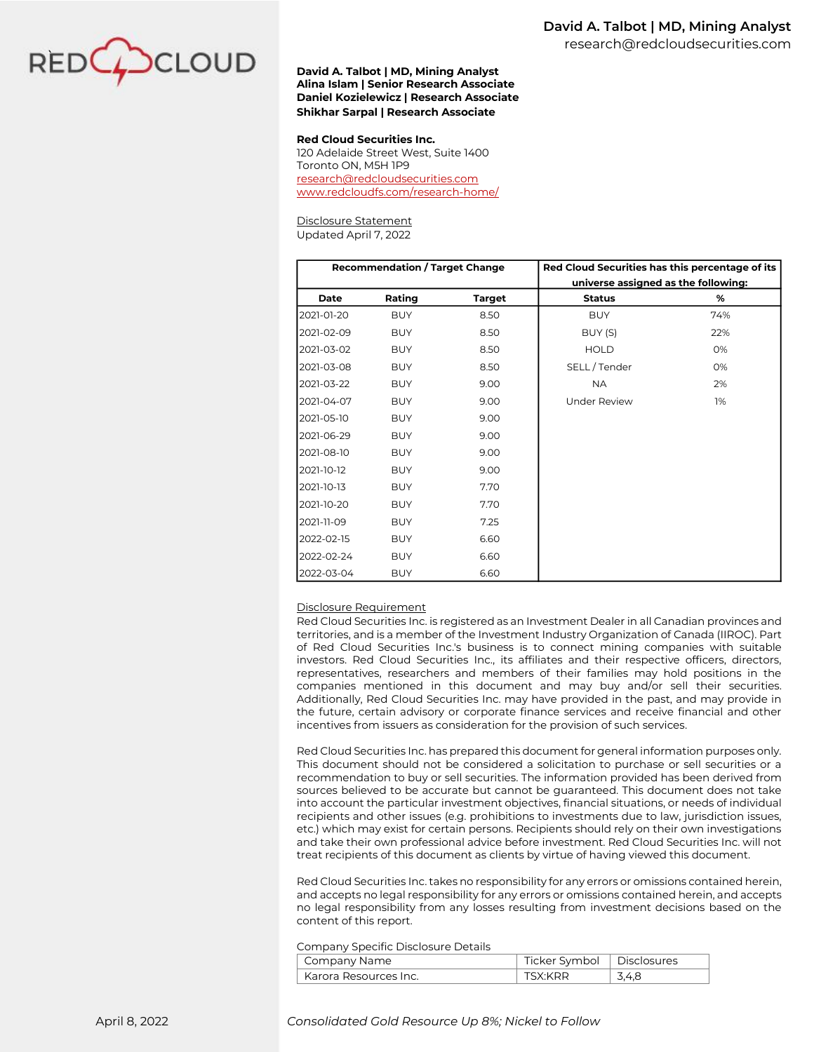

### **David A. Talbot | MD, Mining Analyst Alina Islam | Senior Research Associate Daniel Kozielewicz | Research Associate Shikhar Sarpal | Research Associate**

### **Red Cloud Securities Inc.**

120 Adelaide Street West, Suite 1400 Toronto ON, M5H 1P9 [research@redcloudsecurities.com](mailto:research@redcloudsecurities.com) [www.redcloudfs.com/research-home/](http://www.redcloudfs.com/research-home/)

# Disclosure Statement

Updated April 7, 2022

|            | <b>Recommendation / Target Change</b> |               | Red Cloud Securities has this percentage of its |     |
|------------|---------------------------------------|---------------|-------------------------------------------------|-----|
|            |                                       |               | universe assigned as the following:             |     |
| Date       | Rating                                | <b>Target</b> | <b>Status</b>                                   | %   |
| 2021-01-20 | <b>BUY</b>                            | 8.50          | <b>BUY</b>                                      | 74% |
| 2021-02-09 | <b>BUY</b>                            | 8.50          | BUY (S)                                         | 22% |
| 2021-03-02 | <b>BUY</b>                            | 8.50          | <b>HOLD</b>                                     | O%  |
| 2021-03-08 | <b>BUY</b>                            | 8.50          | SELL/Tender                                     | O%  |
| 2021-03-22 | <b>BUY</b>                            | 9.00          | <b>NA</b>                                       | 2%  |
| 2021-04-07 | <b>BUY</b>                            | 9.00          | <b>Under Review</b>                             | 1%  |
| 2021-05-10 | <b>BUY</b>                            | 9.00          |                                                 |     |
| 2021-06-29 | <b>BUY</b>                            | 9.00          |                                                 |     |
| 2021-08-10 | <b>BUY</b>                            | 9.00          |                                                 |     |
| 2021-10-12 | <b>BUY</b>                            | 9.00          |                                                 |     |
| 2021-10-13 | <b>BUY</b>                            | 7.70          |                                                 |     |
| 2021-10-20 | <b>BUY</b>                            | 7.70          |                                                 |     |
| 2021-11-09 | <b>BUY</b>                            | 7.25          |                                                 |     |
| 2022-02-15 | <b>BUY</b>                            | 6.60          |                                                 |     |
| 2022-02-24 | <b>BUY</b>                            | 6.60          |                                                 |     |
| 2022-03-04 | <b>BUY</b>                            | 6.60          |                                                 |     |

### Disclosure Requirement

Red Cloud Securities Inc. is registered as an Investment Dealer in all Canadian provinces and territories, and is a member of the Investment Industry Organization of Canada (IIROC). Part of Red Cloud Securities Inc.'s business is to connect mining companies with suitable investors. Red Cloud Securities Inc., its affiliates and their respective officers, directors, representatives, researchers and members of their families may hold positions in the companies mentioned in this document and may buy and/or sell their securities. Additionally, Red Cloud Securities Inc. may have provided in the past, and may provide in the future, certain advisory or corporate finance services and receive financial and other incentives from issuers as consideration for the provision of such services.

Red Cloud Securities Inc. has prepared this document for general information purposes only. This document should not be considered a solicitation to purchase or sell securities or a recommendation to buy or sell securities. The information provided has been derived from sources believed to be accurate but cannot be guaranteed. This document does not take into account the particular investment objectives, financial situations, or needs of individual recipients and other issues (e.g. prohibitions to investments due to law, jurisdiction issues, etc.) which may exist for certain persons. Recipients should rely on their own investigations and take their own professional advice before investment. Red Cloud Securities Inc. will not treat recipients of this document as clients by virtue of having viewed this document.

Red Cloud Securities Inc. takes no responsibility for any errors or omissions contained herein, and accepts no legal responsibility for any errors or omissions contained herein, and accepts no legal responsibility from any losses resulting from investment decisions based on the content of this report.

#### Company Specific Disclosure Details

| Company Name            | Ticker Symbol   Disclosures |       |
|-------------------------|-----------------------------|-------|
| l Karora Resources Inc. | TSX:KRR                     | 3.4.8 |